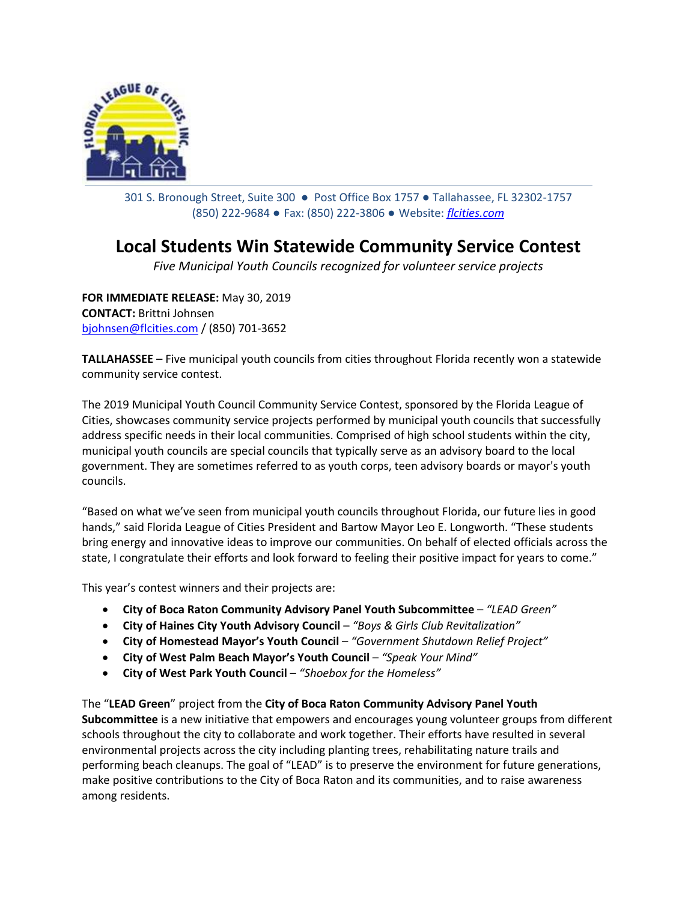

301 S. Bronough Street, Suite 300 ● Post Office Box 1757 ● Tallahassee, FL 32302-1757 (850) 222-9684 ● Fax: (850) 222-3806 ● Website: *[flcities.com](http://www.flcities.com/)*

## **Local Students Win Statewide Community Service Contest**

*Five Municipal Youth Councils recognized for volunteer service projects*

**FOR IMMEDIATE RELEASE:** May 30, 2019 **CONTACT:** Brittni Johnsen [bjohnsen@flcities.com](mailto:bjohnsen@flcities.com) / (850) 701-3652

**TALLAHASSEE** – Five municipal youth councils from cities throughout Florida recently won a statewide community service contest.

The 2019 Municipal Youth Council Community Service Contest, sponsored by the Florida League of Cities, showcases community service projects performed by municipal youth councils that successfully address specific needs in their local communities. Comprised of high school students within the city, municipal youth councils are special councils that typically serve as an advisory board to the local government. They are sometimes referred to as youth corps, teen advisory boards or mayor's youth councils.

"Based on what we've seen from municipal youth councils throughout Florida, our future lies in good hands," said Florida League of Cities President and Bartow Mayor Leo E. Longworth. "These students bring energy and innovative ideas to improve our communities. On behalf of elected officials across the state, I congratulate their efforts and look forward to feeling their positive impact for years to come."

This year's contest winners and their projects are:

- **City of Boca Raton Community Advisory Panel Youth Subcommittee** *"LEAD Green"*
- **City of Haines City Youth Advisory Council**  *"Boys & Girls Club Revitalization"*
- **City of Homestead Mayor's Youth Council** *"Government Shutdown Relief Project"*
- **City of West Palm Beach Mayor's Youth Council** *"Speak Your Mind"*
- **City of West Park Youth Council** *"Shoebox for the Homeless"*

The "**LEAD Green**" project from the **City of Boca Raton Community Advisory Panel Youth Subcommittee** is a new initiative that empowers and encourages young volunteer groups from different schools throughout the city to collaborate and work together. Their efforts have resulted in several environmental projects across the city including planting trees, rehabilitating nature trails and performing beach cleanups. The goal of "LEAD" is to preserve the environment for future generations, make positive contributions to the City of Boca Raton and its communities, and to raise awareness among residents.